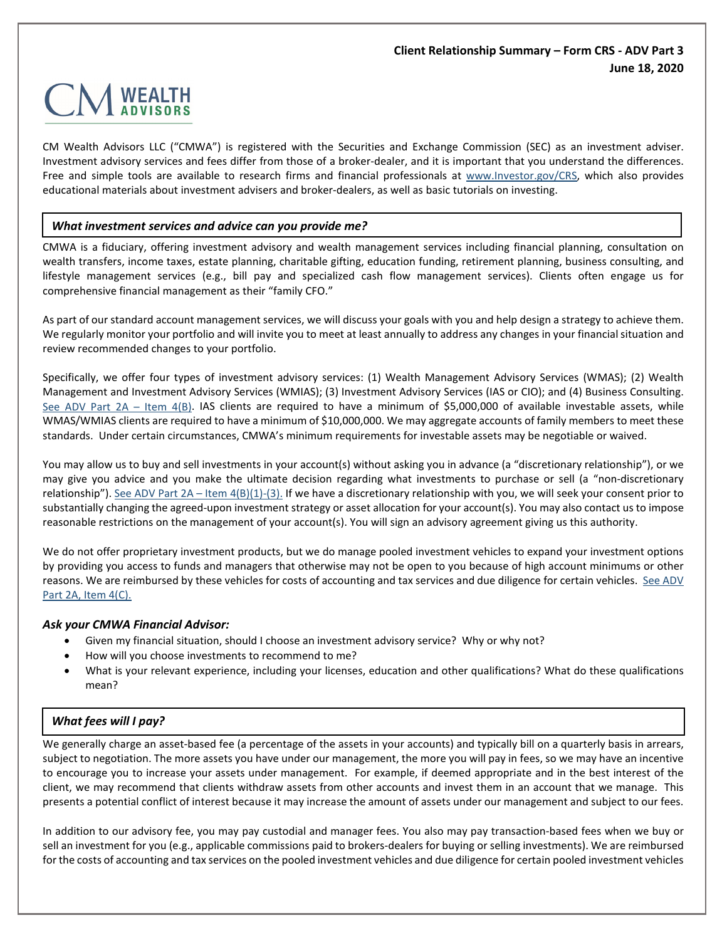## **Client Relationship Summary – Form CRS - ADV Part 3 June 18, 2020**



CM Wealth Advisors LLC ("CMWA") is registered with the Securities and Exchange Commission (SEC) as an investment adviser. Investment advisory services and fees differ from those of a broker-dealer, and it is important that you understand the differences. Free and simple tools are available to research firms and financial professionals at [www.Investor.gov/CRS,](http://www.investor.gov/CRS) which also provides educational materials about investment advisers and broker-dealers, as well as basic tutorials on investing.

#### *What investment services and advice can you provide me?*

CMWA is a fiduciary, offering investment advisory and wealth management services including financial planning, consultation on wealth transfers, income taxes, estate planning, charitable gifting, education funding, retirement planning, business consulting, and lifestyle management services (e.g., bill pay and specialized cash flow management services). Clients often engage us for comprehensive financial management as their "family CFO."

As part of our standard account management services, we will discuss your goals with you and help design a strategy to achieve them. We regularly monitor your portfolio and will invite you to meet at least annually to address any changes in your financial situation and review recommended changes to your portfolio.

Specifically, we offer four types of investment advisory services: (1) Wealth Management Advisory Services (WMAS); (2) Wealth Management and Investment Advisory Services (WMIAS); (3) Investment Advisory Services (IAS or CIO); and (4) Business Consulting. [See ADV Part 2A –](https://www.cmwealthadvisors.com/_files/ugd/35e144_462ea8dbf95943ceac2ac2e0c53854d7.pdf#page=4) Item  $4(B)$ . IAS clients are required to have a minimum of \$5,000,000 of available investable assets, while WMAS/WMIAS clients are required to have a minimum of \$10,000,000. We may aggregate accounts of family members to meet these standards. Under certain circumstances, CMWA's minimum requirements for investable assets may be negotiable or waived.

You may allow us to buy and sell investments in your account(s) without asking you in advance (a "discretionary relationship"), or we may give you advice and you make the ultimate decision regarding what investments to purchase or sell (a "non-discretionary relationship"). See ADV Part 2A – [Item 4\(B\)\(1\)-\(3\).](https://www.cmwealthadvisors.com/_files/ugd/35e144_462ea8dbf95943ceac2ac2e0c53854d7.pdf#page=4) If we have a discretionary relationship with you, we will seek your consent prior to substantially changing the agreed-upon investment strategy or asset allocation for your account(s). You may also contact us to impose reasonable restrictions on the management of your account(s). You will sign an advisory agreement giving us this authority.

We do not offer proprietary investment products, but we do manage pooled investment vehicles to expand your investment options by providing you access to funds and managers that otherwise may not be open to you because of high account minimums or other reasons. We are reimbursed by these vehicles for costs of accounting and tax services and due diligence for certain vehicles. See ADV [Part 2A, Item 4\(C\).](https://www.cmwealthadvisors.com/_files/ugd/35e144_462ea8dbf95943ceac2ac2e0c53854d7.pdf#page=8)

#### *Ask your CMWA Financial Advisor:*

- Given my financial situation, should I choose an investment advisory service? Why or why not?
- How will you choose investments to recommend to me?
- What is your relevant experience, including your licenses, education and other qualifications? What do these qualifications mean?

#### *What fees will I pay?*

We generally charge an asset-based fee (a percentage of the assets in your accounts) and typically bill on a quarterly basis in arrears, subject to negotiation. The more assets you have under our management, the more you will pay in fees, so we may have an incentive to encourage you to increase your assets under management. For example, if deemed appropriate and in the best interest of the client, we may recommend that clients withdraw assets from other accounts and invest them in an account that we manage. This presents a potential conflict of interest because it may increase the amount of assets under our management and subject to our fees.

In addition to our advisory fee, you may pay custodial and manager fees. You also may pay transaction-based fees when we buy or sell an investment for you (e.g., applicable commissions paid to brokers-dealers for buying or selling investments). We are reimbursed for the costs of accounting and tax services on the pooled investment vehicles and due diligence for certain pooled investment vehicles